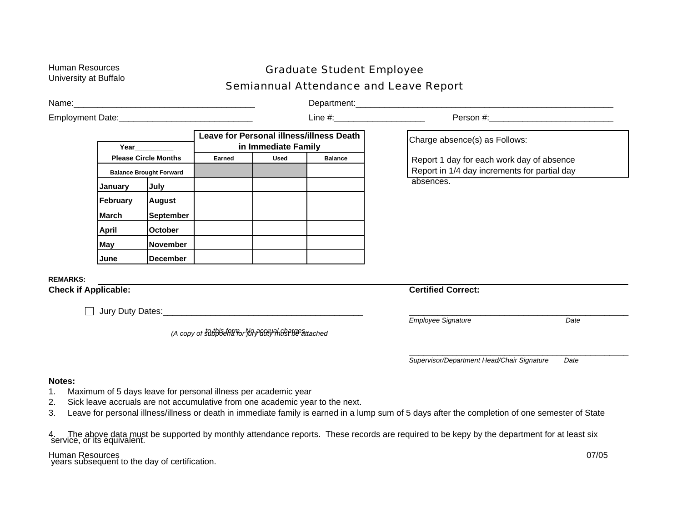## Human Resources **Graduate Student Employee**<br>University at Buffalo **Semiannual Attendance and Leave Report**

\_\_\_\_\_\_\_\_\_\_\_\_\_\_\_\_\_\_\_\_\_\_\_\_\_\_\_\_\_\_\_\_\_\_\_\_\_\_\_\_\_\_\_\_\_\_ *Employee Signature Date*  \_\_\_\_\_\_\_\_\_\_\_\_\_\_\_\_\_\_\_\_\_\_\_\_\_\_\_\_\_\_\_\_\_\_\_\_\_\_\_\_\_\_\_\_\_\_ Name: where the contract of the contract of the contract of the contract of the contract of the contract of the contract of the contract of the contract of the contract of the contract of the contract of the contract of th Employment Date:\_\_\_\_\_\_\_\_\_\_\_\_\_\_\_\_\_\_\_\_\_\_\_\_\_\_\_\_ Line #:\_\_\_\_\_\_\_\_\_\_\_\_\_\_\_\_\_\_\_ Person #:\_\_\_\_\_\_\_\_\_\_\_\_\_\_\_\_\_\_\_\_\_\_\_\_\_\_ **Year\_\_\_\_\_\_\_\_\_\_ Leave for Personal illness/illness Death in Immediate Family Please Circle Months | Earned | Used | Balance Balance Brought Forward January July February August March September April October May November June December**  Charge absence(s) as Follows: Report 1 day for each work day of absence Report in 1/4 day increments for partial day absences. **REMARKS: Check if Applicable:**  Jury Duty Dates:\_\_\_\_\_\_\_\_\_\_\_\_\_\_\_\_\_\_\_\_\_\_\_\_\_\_\_\_\_\_\_\_\_\_\_\_\_\_\_\_\_\_ *(A copy of subpoena for jury duty must be attached to this form. No accrual charges* . **Notes:** 1. Maximum of 5 days leave for personal illness per academic year 2. Sick leave accruals are not accumulative from one academic year to the next. **Certified Correct:** *Supervisor/Department Head/Chair Signature Date* 

3. Leave for personal illness/illness or death in immediate family is earned in a lump sum of 5 days after the completion of one semester of State

4. The above data must be supported by monthly attendance reports. These records are required to be kepy by the department for at least six<br>service, or its equivalent.

Human Resources 07/05<br>years subsequent to the day of certification.